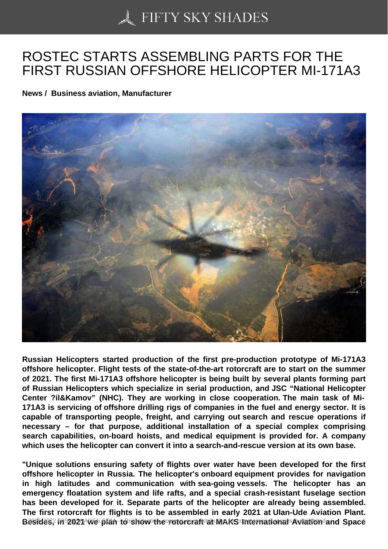## [ROSTEC STARTS AS](https://50skyshades.com)SEMBLING PARTS FOR THE FIRST RUSSIAN OFFSHORE HELICOPTER MI-171A3

News / Business aviation, Manufacturer

Russian Helicopters started production of the first pre-production prototype of Mi-171A3 offshore helicopter. Flight tests of the state-of-the-art rotorcraft are to start on the summer of 2021. The first Mi-171A3 offshore helicopter is being built by several plants forming part of Russian Helicopters which specialize in serial production, and JSC "National Helicopter Center ?il&Kamov" (NHC). They are working in close cooperation. The main task of Mi-171A3 is servicing of offshore drilling rigs of companies in the fuel and energy sector. It is capable of transporting people, freight, and carrying out search and rescue operations if necessary – for that purpose, additional installation of a special complex comprising search capabilities, on-board hoists, and medical equipment is provided for. A company which uses the helicopter can convert it into a search-and-rescue version at its own base.

"Unique solutions ensuring safety of flights over water have been developed for the first offshore helicopter in Russia. The helicopter's onboard equipment provides for navigation in high latitudes and communication with sea-going vessels. The helicopter has an emergency floatation system and life rafts, and a special crash-resistant fuselage section has been developed for it. Separate parts of the helicopter are already being assembled. The first rotorcraft for flights is to be assembled in early 2021 at Ulan-Ude Aviation Plant. Besides, 2021 we plan to show the rotorcraft at MAKS International Aviation and Space